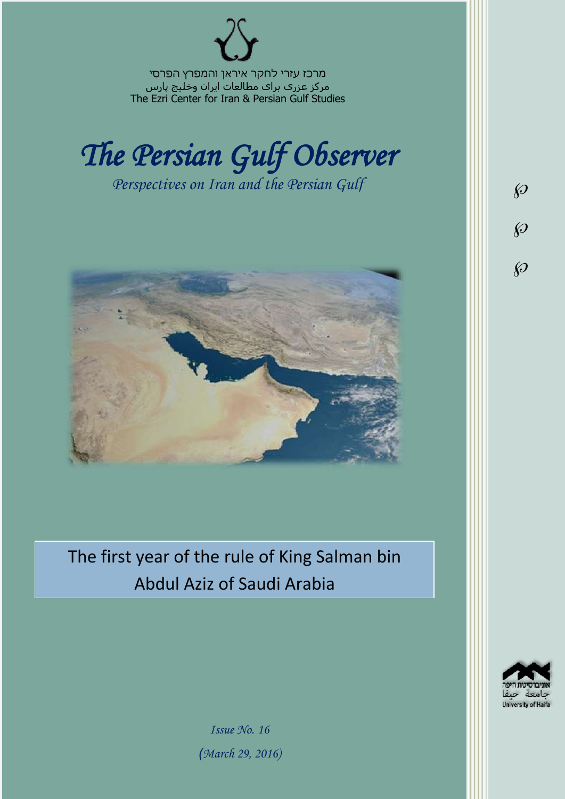מרכז עזרי לחקר איראן והמפרץ הפרסי مرکز عزری برای مطالعات ایران وخلیج پارس The Ezri Center for Iran & Persian Gulf Studies



*Perspectives on Iran and the Persian Gulf* 



The first year of the rule of King Salman bin Abdul Aziz of Saudi Arabia



 $\wp$ 

 $\wp$ 

 $\wp$ 

*Issue No. 16 )March 29, 2016)*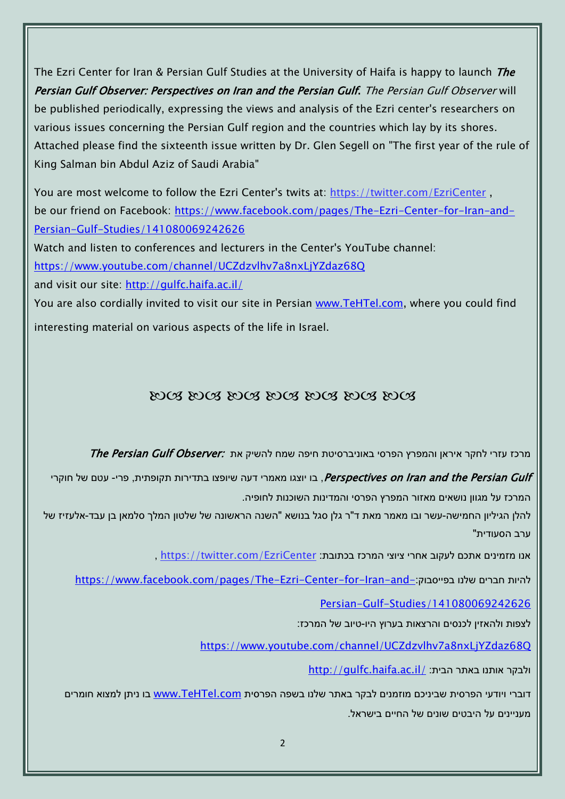The Ezri Center for Iran & Persian Gulf Studies at the University of Haifa is happy to launch *The* Persian Gulf Observer: Perspectives on Iran and the Persian Gulf. The Persian Gulf Observer will be published periodically, expressing the views and analysis of the Ezri center's researchers on various issues concerning the Persian Gulf region and the countries which lay by its shores. Attached please find the sixteenth issue written by Dr. Glen Segell on "The first year of the rule of King Salman bin Abdul Aziz of Saudi Arabia"

You are most welcome to follow the Ezri Center's twits at: <https://twitter.com/EzriCenter> , be our friend on Facebook: [https://www.facebook.com/pages/The-Ezri-Center-for-Iran-and-](https://www.facebook.com/pages/The-Ezri-Center-for-Iran-and-Persian-Gulf-Studies/141080069242626)[Persian-Gulf-Studies/141080069242626](https://www.facebook.com/pages/The-Ezri-Center-for-Iran-and-Persian-Gulf-Studies/141080069242626)

Watch and listen to conferences and lecturers in the Center's YouTube channel:

<https://www.youtube.com/channel/UCZdzvlhv7a8nxLjYZdaz68Q>

and visit our site:<http://gulfc.haifa.ac.il/>

You are also cordially invited to visit our site in Persian [www.TeHTel.com,](http://www.tehtel.com/) where you could find interesting material on various aspects of the life in Israel.

## DOG DOG DOG DOG DOG DOG DOG

מרכז עזרי לחקר איראן והמפרץ הפרסי באוניברסיטת חיפה שמח להשיק את :The Persian Gulf Observer

Perspectives on Iran and the Persian Gulf, בו יוצגו מאמרי דעה שיופצו בתדירות תקופתית, פרי- עטם של חוקרי

המרכז על מגוון נושאים מאזור המפרץ הפרסי והמדינות השוכנות לחופיה.

להלן הגיליון החמישה-עשר ובו מאמר מאת ד"ר גלן סגל בנושא "השנה הראשונה של שלטון המלך סלמאן בן עבד-אלעזיז של ערב הסעודית"

אנו מזמינים אתכם לעקוב אחרי ציוצי המרכז בכתובת: [EzriCenter/com.twitter://https](https://twitter.com/EzriCenter) ,

[https://www.facebook.com/pages/The-Ezri-Center-for-Iran-and-](https://www.facebook.com/pages/The-Ezri-Center-for-Iran-and-Persian-Gulf-Studies/141080069242626)

[Persian-Gulf-Studies/141080069242626](https://www.facebook.com/pages/The-Ezri-Center-for-Iran-and-Persian-Gulf-Studies/141080069242626)

לצפות ולהאזין לכנסים והרצאות בערוץ היו-טיוב של המרכז:

<https://www.youtube.com/channel/UCZdzvlhv7a8nxLjYZdaz68Q>

<http://gulfc.haifa.ac.il/> ולבקר אותנו באתר הבית

דוברי ויודעי הפרסית שביניכם מוזמנים לבקר באתר שלנו בשפה הפרסית [com.TeHTel.www](http://www.tehtel.com/) בו ניתן למצוא חומרים מעניינים על היבטים שונים של החיים בישראל.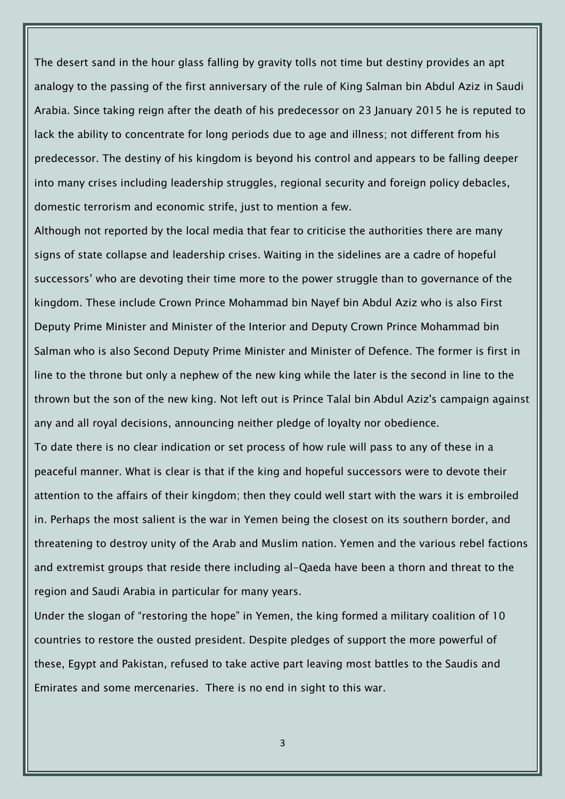The desert sand in the hour glass falling by gravity tolls not time but destiny provides an apt analogy to the passing of the first anniversary of the rule of King Salman bin Abdul Aziz in Saudi Arabia. Since taking reign after the death of his predecessor on 23 January 2015 he is reputed to lack the ability to concentrate for long periods due to age and illness; not different from his predecessor. The destiny of his kingdom is beyond his control and appears to be falling deeper into many crises including leadership struggles, regional security and foreign policy debacles, domestic terrorism and economic strife, just to mention a few.

Although not reported by the local media that fear to criticise the authorities there are many signs of state collapse and leadership crises. Waiting in the sidelines are a cadre of hopeful successors' who are devoting their time more to the power struggle than to governance of the kingdom. These include Crown Prince Mohammad bin Nayef bin Abdul Aziz who is also First Deputy Prime Minister and Minister of the Interior and Deputy Crown Prince Mohammad bin Salman who is also Second Deputy Prime Minister and Minister of Defence. The former is first in line to the throne but only a nephew of the new king while the later is the second in line to the thrown but the son of the new king. Not left out is Prince Talal bin Abdul Aziz's campaign against any and all royal decisions, announcing neither pledge of loyalty nor obedience.

To date there is no clear indication or set process of how rule will pass to any of these in a peaceful manner. What is clear is that if the king and hopeful successors were to devote their attention to the affairs of their kingdom; then they could well start with the wars it is embroiled in. Perhaps the most salient is the war in Yemen being the closest on its southern border, and threatening to destroy unity of the Arab and Muslim nation. Yemen and the various rebel factions and extremist groups that reside there including al-Qaeda have been a thorn and threat to the region and Saudi Arabia in particular for many years.

Under the slogan of "restoring the hope" in Yemen, the king formed a military coalition of 10 countries to restore the ousted president. Despite pledges of support the more powerful of these, Egypt and Pakistan, refused to take active part leaving most battles to the Saudis and Emirates and some mercenaries. There is no end in sight to this war.

3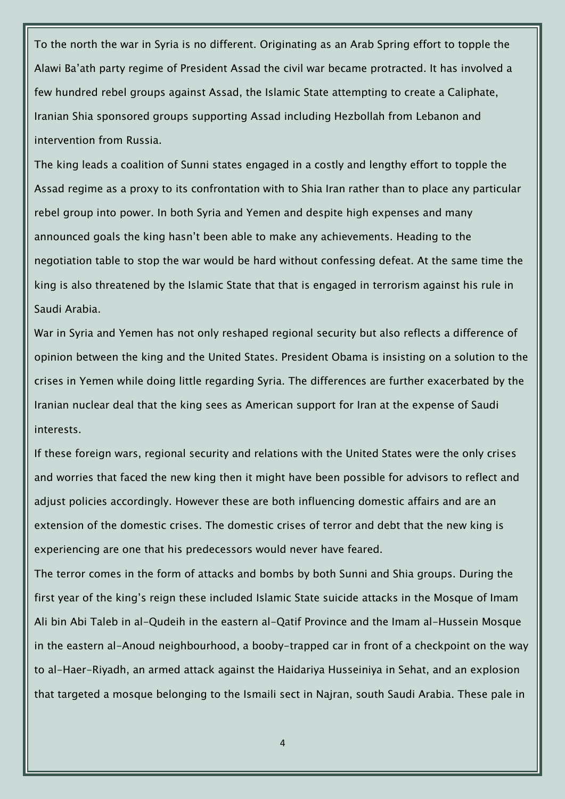To the north the war in Syria is no different. Originating as an Arab Spring effort to topple the Alawi Ba'ath party regime of President Assad the civil war became protracted. It has involved a few hundred rebel groups against Assad, the Islamic State attempting to create a Caliphate, Iranian Shia sponsored groups supporting Assad including Hezbollah from Lebanon and intervention from Russia.

The king leads a coalition of Sunni states engaged in a costly and lengthy effort to topple the Assad regime as a proxy to its confrontation with to Shia Iran rather than to place any particular rebel group into power. In both Syria and Yemen and despite high expenses and many announced goals the king hasn't been able to make any achievements. Heading to the negotiation table to stop the war would be hard without confessing defeat. At the same time the king is also threatened by the Islamic State that that is engaged in terrorism against his rule in Saudi Arabia.

War in Syria and Yemen has not only reshaped regional security but also reflects a difference of opinion between the king and the United States. President Obama is insisting on a solution to the crises in Yemen while doing little regarding Syria. The differences are further exacerbated by the Iranian nuclear deal that the king sees as American support for Iran at the expense of Saudi interests.

If these foreign wars, regional security and relations with the United States were the only crises and worries that faced the new king then it might have been possible for advisors to reflect and adjust policies accordingly. However these are both influencing domestic affairs and are an extension of the domestic crises. The domestic crises of terror and debt that the new king is experiencing are one that his predecessors would never have feared.

The terror comes in the form of attacks and bombs by both Sunni and Shia groups. During the first year of the king's reign these included Islamic State suicide attacks in the Mosque of Imam Ali bin Abi Taleb in al-Qudeih in the eastern al-Qatif Province and the Imam al-Hussein Mosque in the eastern al-Anoud neighbourhood, a booby-trapped car in front of a checkpoint on the way to al-Haer-Riyadh, an armed attack against the Haidariya Husseiniya in Sehat, and an explosion that targeted a mosque belonging to the Ismaili sect in Najran, south Saudi Arabia. These pale in

4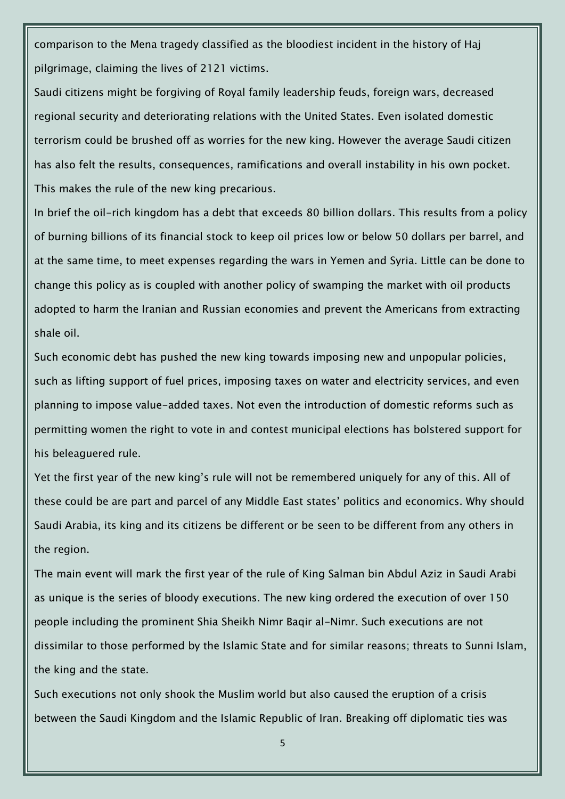comparison to the Mena tragedy classified as the bloodiest incident in the history of Haj pilgrimage, claiming the lives of 2121 victims.

Saudi citizens might be forgiving of Royal family leadership feuds, foreign wars, decreased regional security and deteriorating relations with the United States. Even isolated domestic terrorism could be brushed off as worries for the new king. However the average Saudi citizen has also felt the results, consequences, ramifications and overall instability in his own pocket. This makes the rule of the new king precarious.

In brief the oil-rich kingdom has a debt that exceeds 80 billion dollars. This results from a policy of burning billions of its financial stock to keep oil prices low or below 50 dollars per barrel, and at the same time, to meet expenses regarding the wars in Yemen and Syria. Little can be done to change this policy as is coupled with another policy of swamping the market with oil products adopted to harm the Iranian and Russian economies and prevent the Americans from extracting shale oil.

Such economic debt has pushed the new king towards imposing new and unpopular policies, such as lifting support of fuel prices, imposing taxes on water and electricity services, and even planning to impose value-added taxes. Not even the introduction of domestic reforms such as permitting women the right to vote in and contest municipal elections has bolstered support for his beleaguered rule.

Yet the first year of the new king's rule will not be remembered uniquely for any of this. All of these could be are part and parcel of any Middle East states' politics and economics. Why should Saudi Arabia, its king and its citizens be different or be seen to be different from any others in the region.

The main event will mark the first year of the rule of King Salman bin Abdul Aziz in Saudi Arabi as unique is the series of bloody executions. The new king ordered the execution of over 150 people including the prominent Shia Sheikh Nimr Baqir al-Nimr. Such executions are not dissimilar to those performed by the Islamic State and for similar reasons; threats to Sunni Islam, the king and the state.

Such executions not only shook the Muslim world but also caused the eruption of a crisis between the Saudi Kingdom and the Islamic Republic of Iran. Breaking off diplomatic ties was